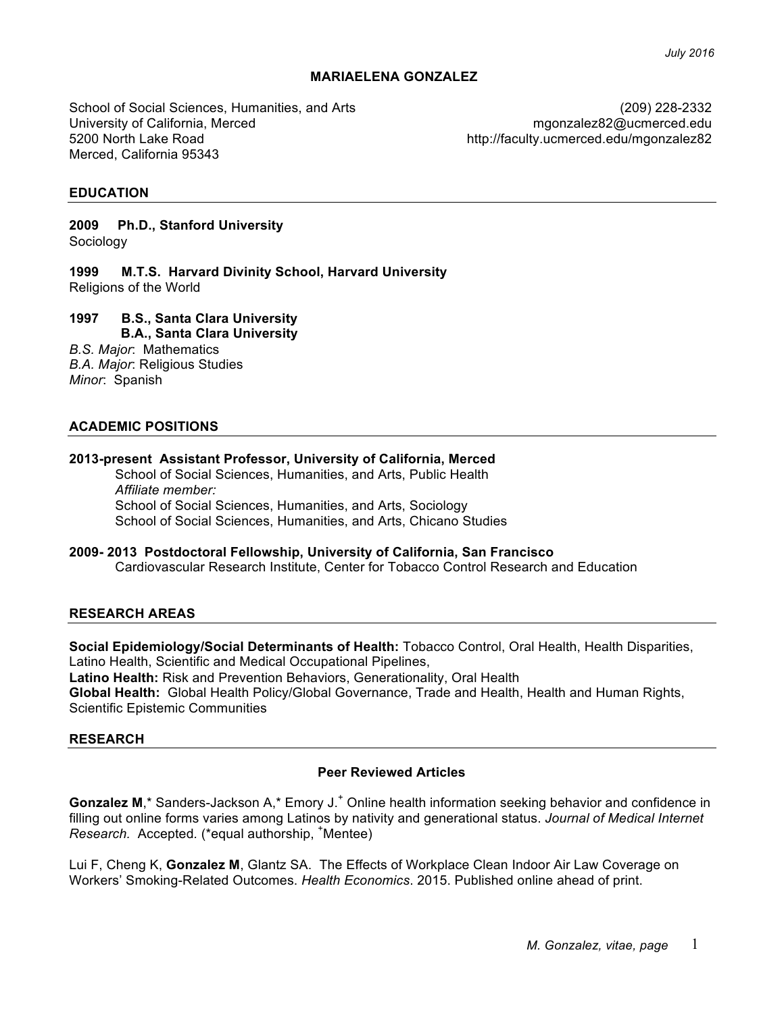#### **MARIAELENA GONZALEZ**

School of Social Sciences, Humanities, and Arts University of California, Merced 5200 North Lake Road Merced, California 95343

(209) 228-2332 mgonzalez82@ucmerced.edu http://faculty.ucmerced.edu/mgonzalez82

#### **EDUCATION**

**2009 Ph.D., Stanford University** Sociology

**1999 M.T.S. Harvard Divinity School, Harvard University** Religions of the World

# **1997 B.S., Santa Clara University**

**B.A., Santa Clara University** *B.S. Major*: Mathematics *B.A. Major*: Religious Studies

*Minor*: Spanish

#### **ACADEMIC POSITIONS**

#### **2013-present Assistant Professor, University of California, Merced**

School of Social Sciences, Humanities, and Arts, Public Health *Affiliate member:* School of Social Sciences, Humanities, and Arts, Sociology School of Social Sciences, Humanities, and Arts, Chicano Studies

#### **2009- 2013 Postdoctoral Fellowship, University of California, San Francisco** Cardiovascular Research Institute, Center for Tobacco Control Research and Education

#### **RESEARCH AREAS**

**Social Epidemiology/Social Determinants of Health:** Tobacco Control, Oral Health, Health Disparities, Latino Health, Scientific and Medical Occupational Pipelines, **Latino Health:** Risk and Prevention Behaviors, Generationality, Oral Health **Global Health:** Global Health Policy/Global Governance, Trade and Health, Health and Human Rights, Scientific Epistemic Communities

#### **RESEARCH**

#### **Peer Reviewed Articles**

**Gonzalez M,\*** Sanders-Jackson A,\* Emory J.<sup>+</sup> Online health information seeking behavior and confidence in filling out online forms varies among Latinos by nativity and generational status. *Journal of Medical Internet Research.* Accepted*.* (\*equal authorship, <sup>+</sup> Mentee)

Lui F, Cheng K, **Gonzalez M**, Glantz SA. The Effects of Workplace Clean Indoor Air Law Coverage on Workers' Smoking-Related Outcomes. *Health Economics*. 2015. Published online ahead of print.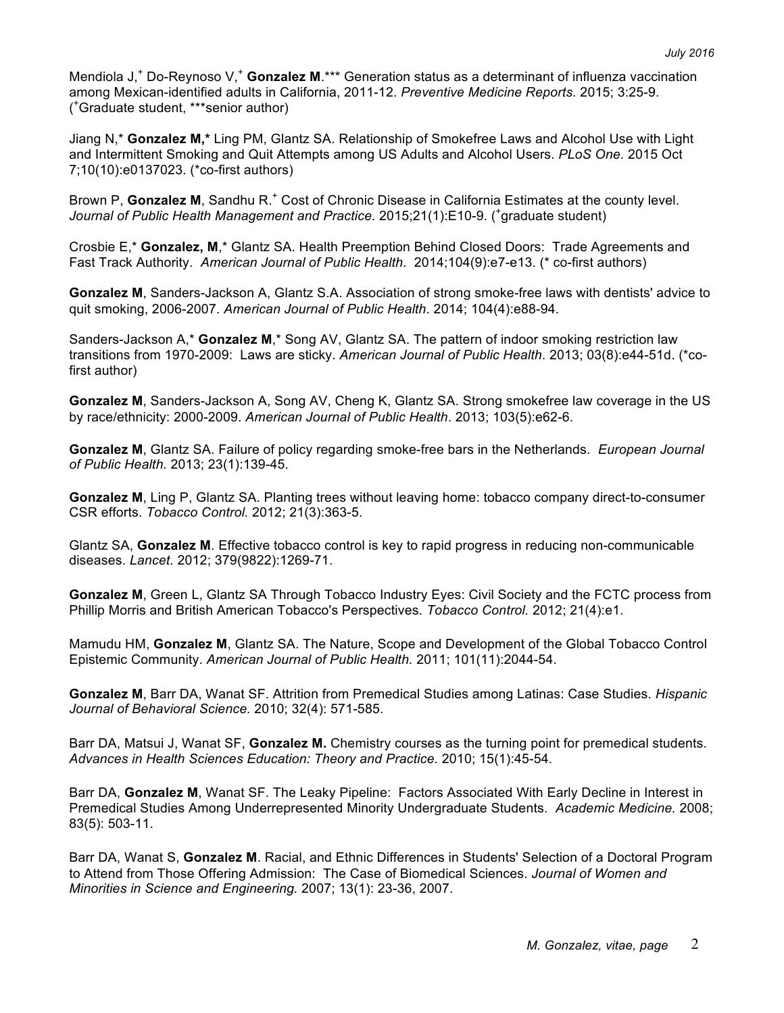Mendiola J<sub>1</sub><sup>+</sup> Do-Reynoso V<sub>1</sub><sup>+</sup> Gonzalez M<sub>1</sub><sup>\*\*</sup> Generation status as a determinant of influenza vaccination among Mexican-identified adults in California, 2011-12. *Preventive Medicine Reports.* 2015; 3:25-9. ( + Graduate student, \*\*\*senior author)

Jiang N,\* **Gonzalez M,\*** Ling PM, Glantz SA. Relationship of Smokefree Laws and Alcohol Use with Light and Intermittent Smoking and Quit Attempts among US Adults and Alcohol Users. *PLoS One.* 2015 Oct 7;10(10):e0137023. (\*co-first authors)

Brown P, **Gonzalez M**, Sandhu R.<sup>+</sup> Cost of Chronic Disease in California Estimates at the county level. *Journal of Public Health Management and Practice.* 2015;21(1):E10-9. ( + graduate student)

Crosbie E,\* **Gonzalez, M**,\* Glantz SA. Health Preemption Behind Closed Doors: Trade Agreements and Fast Track Authority. *American Journal of Public Health*. 2014;104(9):e7-e13. (\* co-first authors)

**Gonzalez M**, Sanders-Jackson A, Glantz S.A. Association of strong smoke-free laws with dentists' advice to quit smoking, 2006-2007. *American Journal of Public Health*. 2014; 104(4):e88-94.

Sanders-Jackson A,\* **Gonzalez M**,\* Song AV, Glantz SA. The pattern of indoor smoking restriction law transitions from 1970-2009: Laws are sticky. *American Journal of Public Health*. 2013; 03(8):e44-51d. (\*cofirst author)

**Gonzalez M**, Sanders-Jackson A, Song AV, Cheng K, Glantz SA. Strong smokefree law coverage in the US by race/ethnicity: 2000-2009. *American Journal of Public Health*. 2013; 103(5):e62-6.

**Gonzalez M**, Glantz SA. Failure of policy regarding smoke-free bars in the Netherlands. *European Journal of Public Health.* 2013; 23(1):139-45*.*

**Gonzalez M**, Ling P, Glantz SA. Planting trees without leaving home: tobacco company direct-to-consumer CSR efforts. *Tobacco Control.* 2012; 21(3):363-5.

Glantz SA, **Gonzalez M**. Effective tobacco control is key to rapid progress in reducing non-communicable diseases. *Lancet.* 2012; 379(9822):1269-71.

**Gonzalez M**, Green L, Glantz SA Through Tobacco Industry Eyes: Civil Society and the FCTC process from Phillip Morris and British American Tobacco's Perspectives. *Tobacco Control.* 2012; 21(4):e1.

Mamudu HM, **Gonzalez M**, Glantz SA. The Nature, Scope and Development of the Global Tobacco Control Epistemic Community. *American Journal of Public Health.* 2011; 101(11):2044-54.

**Gonzalez M**, Barr DA, Wanat SF. Attrition from Premedical Studies among Latinas: Case Studies. *Hispanic Journal of Behavioral Science.* 2010; 32(4): 571-585.

Barr DA, Matsui J, Wanat SF, **Gonzalez M.** Chemistry courses as the turning point for premedical students. *Advances in Health Sciences Education: Theory and Practice.* 2010; 15(1):45-54.

Barr DA, **Gonzalez M**, Wanat SF. The Leaky Pipeline: Factors Associated With Early Decline in Interest in Premedical Studies Among Underrepresented Minority Undergraduate Students. *Academic Medicine.* 2008; 83(5): 503-11.

Barr DA, Wanat S, **Gonzalez M**. Racial, and Ethnic Differences in Students' Selection of a Doctoral Program to Attend from Those Offering Admission: The Case of Biomedical Sciences. *Journal of Women and Minorities in Science and Engineering.* 2007; 13(1): 23-36, 2007.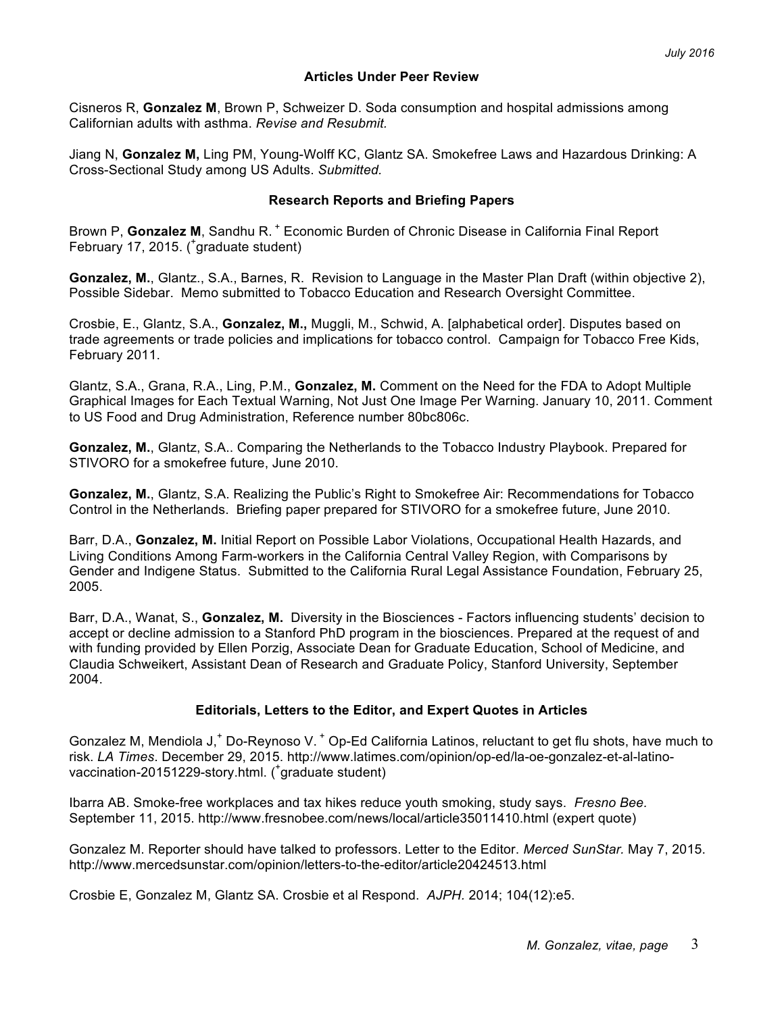### **Articles Under Peer Review**

Cisneros R, **Gonzalez M**, Brown P, Schweizer D. Soda consumption and hospital admissions among Californian adults with asthma. *Revise and Resubmit.*

Jiang N, **Gonzalez M,** Ling PM, Young-Wolff KC, Glantz SA. Smokefree Laws and Hazardous Drinking: A Cross-Sectional Study among US Adults. *Submitted.*

#### **Research Reports and Briefing Papers**

Brown P, **Gonzalez M**, Sandhu R. <sup>+</sup> Economic Burden of Chronic Disease in California Final Report February 17, 2015. (<sup>+</sup>graduate student)

**Gonzalez, M.**, Glantz., S.A., Barnes, R. Revision to Language in the Master Plan Draft (within objective 2), Possible Sidebar. Memo submitted to Tobacco Education and Research Oversight Committee.

Crosbie, E., Glantz, S.A., **Gonzalez, M.,** Muggli, M., Schwid, A. [alphabetical order]. Disputes based on trade agreements or trade policies and implications for tobacco control. Campaign for Tobacco Free Kids, February 2011.

Glantz, S.A., Grana, R.A., Ling, P.M., **Gonzalez, M.** Comment on the Need for the FDA to Adopt Multiple Graphical Images for Each Textual Warning, Not Just One Image Per Warning. January 10, 2011. Comment to US Food and Drug Administration, Reference number 80bc806c.

**Gonzalez, M.**, Glantz, S.A.. Comparing the Netherlands to the Tobacco Industry Playbook. Prepared for STIVORO for a smokefree future, June 2010.

**Gonzalez, M.**, Glantz, S.A. Realizing the Public's Right to Smokefree Air: Recommendations for Tobacco Control in the Netherlands. Briefing paper prepared for STIVORO for a smokefree future, June 2010.

Barr, D.A., **Gonzalez, M.** Initial Report on Possible Labor Violations, Occupational Health Hazards, and Living Conditions Among Farm-workers in the California Central Valley Region, with Comparisons by Gender and Indigene Status. Submitted to the California Rural Legal Assistance Foundation, February 25, 2005.

Barr, D.A., Wanat, S., **Gonzalez, M.** Diversity in the Biosciences - Factors influencing students' decision to accept or decline admission to a Stanford PhD program in the biosciences. Prepared at the request of and with funding provided by Ellen Porzig, Associate Dean for Graduate Education, School of Medicine, and Claudia Schweikert, Assistant Dean of Research and Graduate Policy, Stanford University, September 2004.

### **Editorials, Letters to the Editor, and Expert Quotes in Articles**

Gonzalez M, Mendiola J,<sup>+</sup> Do-Reynoso V. <sup>+</sup> Op-Ed California Latinos, reluctant to get flu shots, have much to risk. *LA Times*. December 29, 2015. http://www.latimes.com/opinion/op-ed/la-oe-gonzalez-et-al-latinovaccination-20151229-story.html. ( + graduate student)

Ibarra AB. Smoke-free workplaces and tax hikes reduce youth smoking, study says. *Fresno Bee.* September 11, 2015. http://www.fresnobee.com/news/local/article35011410.html (expert quote)

Gonzalez M. Reporter should have talked to professors. Letter to the Editor. *Merced SunStar.* May 7, 2015. http://www.mercedsunstar.com/opinion/letters-to-the-editor/article20424513.html

Crosbie E, Gonzalez M, Glantz SA. Crosbie et al Respond. *AJPH.* 2014; 104(12):e5.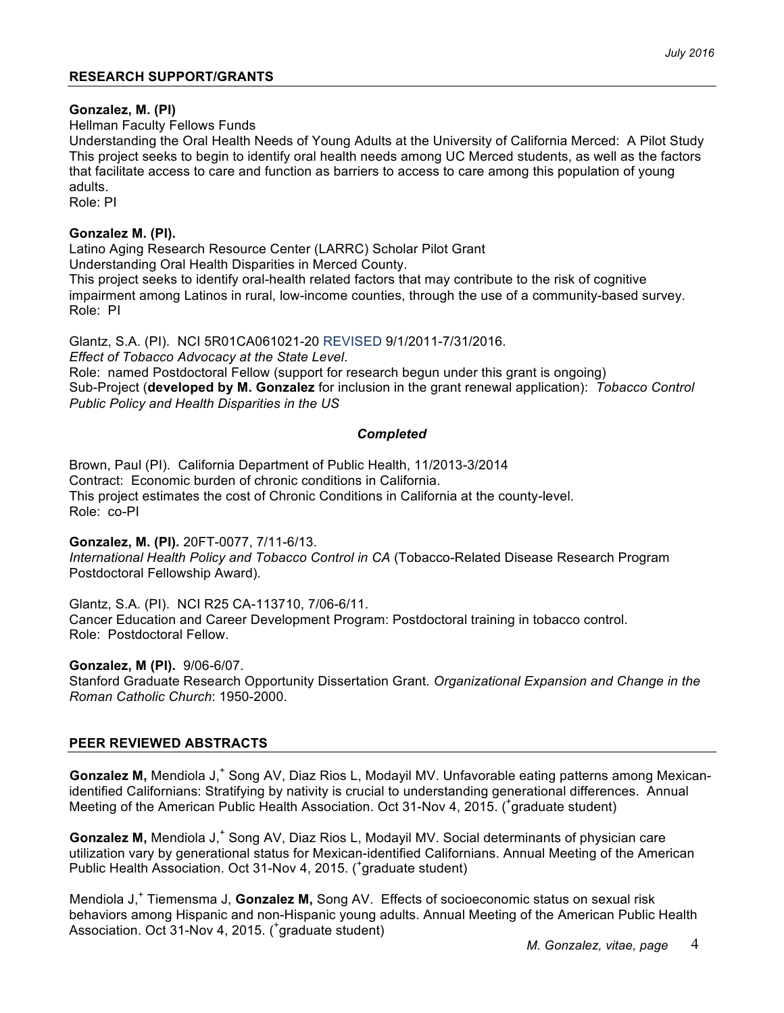## **Gonzalez, M. (PI)**

Hellman Faculty Fellows Funds

Understanding the Oral Health Needs of Young Adults at the University of California Merced: A Pilot Study This project seeks to begin to identify oral health needs among UC Merced students, as well as the factors that facilitate access to care and function as barriers to access to care among this population of young adults.

Role: PI

## **Gonzalez M. (PI).**

Latino Aging Research Resource Center (LARRC) Scholar Pilot Grant Understanding Oral Health Disparities in Merced County. This project seeks to identify oral-health related factors that may contribute to the risk of cognitive

impairment among Latinos in rural, low-income counties, through the use of a community-based survey. Role: PI

Glantz, S.A. (PI). NCI 5R01CA061021-20 REVISED 9/1/2011-7/31/2016.

*Effect of Tobacco Advocacy at the State Level*.

Role: named Postdoctoral Fellow (support for research begun under this grant is ongoing) Sub-Project (**developed by M. Gonzalez** for inclusion in the grant renewal application): *Tobacco Control Public Policy and Health Disparities in the US*

## *Completed*

Brown, Paul (PI). California Department of Public Health, 11/2013-3/2014 Contract: Economic burden of chronic conditions in California. This project estimates the cost of Chronic Conditions in California at the county-level. Role: co-PI

**Gonzalez, M. (PI).** 20FT-0077, 7/11-6/13.

*International Health Policy and Tobacco Control in CA* (Tobacco-Related Disease Research Program Postdoctoral Fellowship Award).

Glantz, S.A. (PI). NCI R25 CA-113710, 7/06-6/11.

Cancer Education and Career Development Program: Postdoctoral training in tobacco control. Role: Postdoctoral Fellow.

**Gonzalez, M (PI).** 9/06-6/07.

Stanford Graduate Research Opportunity Dissertation Grant. *Organizational Expansion and Change in the Roman Catholic Church*: 1950-2000.

# **PEER REVIEWED ABSTRACTS**

**Gonzalez M,** Mendiola J,<sup>+</sup> Song AV, Diaz Rios L, Modayil MV. Unfavorable eating patterns among Mexicanidentified Californians: Stratifying by nativity is crucial to understanding generational differences. Annual Meeting of the American Public Health Association. Oct 31-Nov 4, 2015. (<sup>+</sup>graduate student)

Gonzalez M, Mendiola J,<sup>+</sup> Song AV, Diaz Rios L, Modayil MV. Social determinants of physician care utilization vary by generational status for Mexican-identified Californians. Annual Meeting of the American Public Health Association. Oct 31-Nov 4, 2015. (<sup>+</sup>graduate student)

Mendiola J<sub>,</sub><sup>+</sup> Tiemensma J, **Gonzalez M,** Song AV. Effects of socioeconomic status on sexual risk behaviors among Hispanic and non-Hispanic young adults. Annual Meeting of the American Public Health Association. Oct 31-Nov 4, 2015. (<sup>+</sup> graduate student)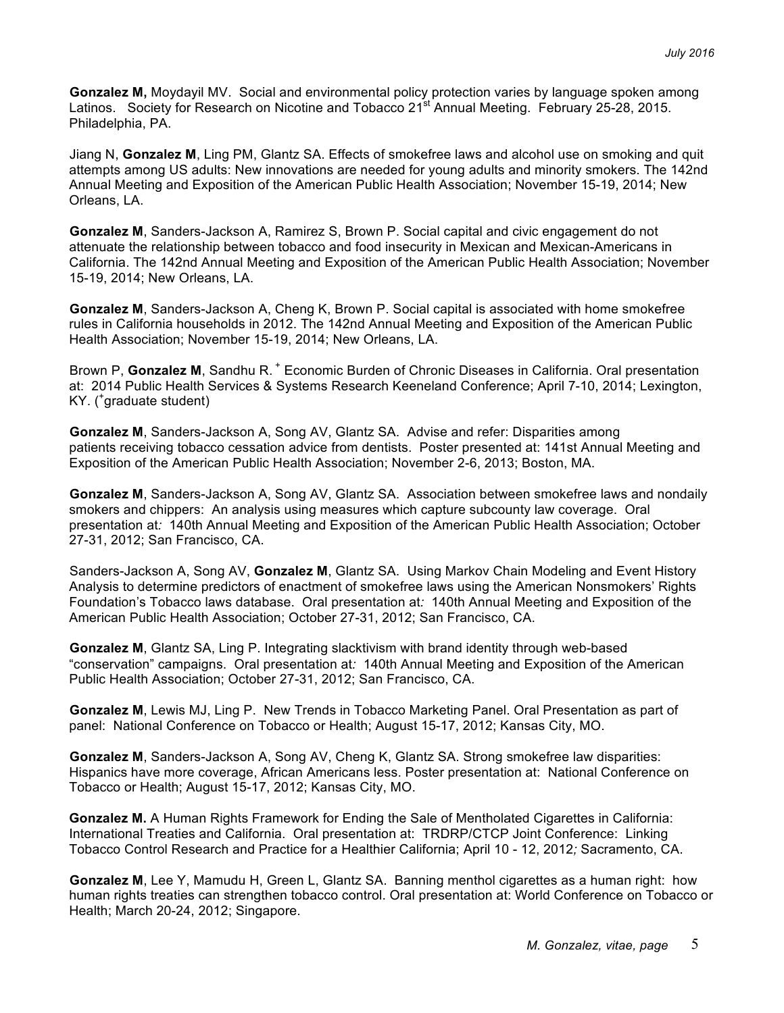**Gonzalez M,** Moydayil MV. Social and environmental policy protection varies by language spoken among Latinos. Society for Research on Nicotine and Tobacco 21<sup>st</sup> Annual Meeting. February 25-28, 2015. Philadelphia, PA.

Jiang N, **Gonzalez M**, Ling PM, Glantz SA. Effects of smokefree laws and alcohol use on smoking and quit attempts among US adults: New innovations are needed for young adults and minority smokers. The 142nd Annual Meeting and Exposition of the American Public Health Association; November 15-19, 2014; New Orleans, LA.

**Gonzalez M**, Sanders-Jackson A, Ramirez S, Brown P. Social capital and civic engagement do not attenuate the relationship between tobacco and food insecurity in Mexican and Mexican-Americans in California. The 142nd Annual Meeting and Exposition of the American Public Health Association; November 15-19, 2014; New Orleans, LA.

**Gonzalez M**, Sanders-Jackson A, Cheng K, Brown P. Social capital is associated with home smokefree rules in California households in 2012. The 142nd Annual Meeting and Exposition of the American Public Health Association; November 15-19, 2014; New Orleans, LA.

Brown P, **Gonzalez M**, Sandhu R. <sup>+</sup> Economic Burden of Chronic Diseases in California. Oral presentation at: 2014 Public Health Services & Systems Research Keeneland Conference; April 7-10, 2014; Lexington, KY. ( + graduate student)

**Gonzalez M**, Sanders-Jackson A, Song AV, Glantz SA. Advise and refer: Disparities among patients receiving tobacco cessation advice from dentists. Poster presented at: 141st Annual Meeting and Exposition of the American Public Health Association; November 2-6, 2013; Boston, MA.

**Gonzalez M**, Sanders-Jackson A, Song AV, Glantz SA. Association between smokefree laws and nondaily smokers and chippers: An analysis using measures which capture subcounty law coverage. Oral presentation at*:* 140th Annual Meeting and Exposition of the American Public Health Association; October 27-31, 2012; San Francisco, CA.

Sanders-Jackson A, Song AV, **Gonzalez M**, Glantz SA. Using Markov Chain Modeling and Event History Analysis to determine predictors of enactment of smokefree laws using the American Nonsmokers' Rights Foundation's Tobacco laws database. Oral presentation at*:* 140th Annual Meeting and Exposition of the American Public Health Association; October 27-31, 2012; San Francisco, CA.

**Gonzalez M**, Glantz SA, Ling P. Integrating slacktivism with brand identity through web-based "conservation" campaigns. Oral presentation at*:* 140th Annual Meeting and Exposition of the American Public Health Association; October 27-31, 2012; San Francisco, CA.

**Gonzalez M**, Lewis MJ, Ling P. New Trends in Tobacco Marketing Panel. Oral Presentation as part of panel: National Conference on Tobacco or Health; August 15-17, 2012; Kansas City, MO.

**Gonzalez M**, Sanders-Jackson A, Song AV, Cheng K, Glantz SA. Strong smokefree law disparities: Hispanics have more coverage, African Americans less. Poster presentation at: National Conference on Tobacco or Health; August 15-17, 2012; Kansas City, MO.

**Gonzalez M.** A Human Rights Framework for Ending the Sale of Mentholated Cigarettes in California: International Treaties and California. Oral presentation at: TRDRP/CTCP Joint Conference: Linking Tobacco Control Research and Practice for a Healthier California; April 10 - 12, 2012*;* Sacramento, CA.

**Gonzalez M**, Lee Y, Mamudu H, Green L, Glantz SA. Banning menthol cigarettes as a human right: how human rights treaties can strengthen tobacco control. Oral presentation at: World Conference on Tobacco or Health; March 20-24, 2012; Singapore.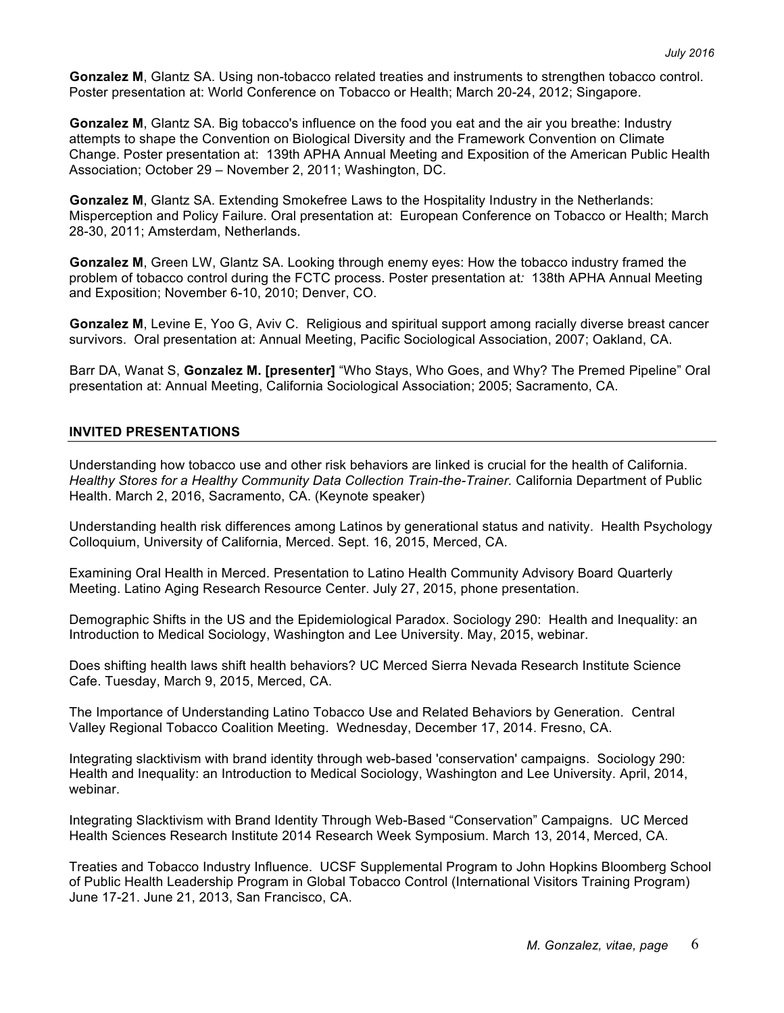**Gonzalez M**, Glantz SA. Using non-tobacco related treaties and instruments to strengthen tobacco control. Poster presentation at: World Conference on Tobacco or Health; March 20-24, 2012; Singapore.

**Gonzalez M**, Glantz SA. Big tobacco's influence on the food you eat and the air you breathe: Industry attempts to shape the Convention on Biological Diversity and the Framework Convention on Climate Change. Poster presentation at: 139th APHA Annual Meeting and Exposition of the American Public Health Association; October 29 – November 2, 2011; Washington, DC.

**Gonzalez M**, Glantz SA. Extending Smokefree Laws to the Hospitality Industry in the Netherlands: Misperception and Policy Failure. Oral presentation at: European Conference on Tobacco or Health; March 28-30, 2011; Amsterdam, Netherlands.

**Gonzalez M**, Green LW, Glantz SA. Looking through enemy eyes: How the tobacco industry framed the problem of tobacco control during the FCTC process. Poster presentation at*:* 138th APHA Annual Meeting and Exposition; November 6-10, 2010; Denver, CO.

**Gonzalez M**, Levine E, Yoo G, Aviv C. Religious and spiritual support among racially diverse breast cancer survivors. Oral presentation at: Annual Meeting, Pacific Sociological Association, 2007; Oakland, CA.

Barr DA, Wanat S, **Gonzalez M. [presenter]** "Who Stays, Who Goes, and Why? The Premed Pipeline" Oral presentation at: Annual Meeting, California Sociological Association; 2005; Sacramento, CA.

#### **INVITED PRESENTATIONS**

Understanding how tobacco use and other risk behaviors are linked is crucial for the health of California. *Healthy Stores for a Healthy Community Data Collection Train-the-Trainer.* California Department of Public Health. March 2, 2016, Sacramento, CA. (Keynote speaker)

Understanding health risk differences among Latinos by generational status and nativity. Health Psychology Colloquium, University of California, Merced. Sept. 16, 2015, Merced, CA.

Examining Oral Health in Merced. Presentation to Latino Health Community Advisory Board Quarterly Meeting. Latino Aging Research Resource Center. July 27, 2015, phone presentation.

Demographic Shifts in the US and the Epidemiological Paradox. Sociology 290: Health and Inequality: an Introduction to Medical Sociology, Washington and Lee University. May, 2015, webinar.

Does shifting health laws shift health behaviors? UC Merced Sierra Nevada Research Institute Science Cafe. Tuesday, March 9, 2015, Merced, CA.

The Importance of Understanding Latino Tobacco Use and Related Behaviors by Generation. Central Valley Regional Tobacco Coalition Meeting. Wednesday, December 17, 2014. Fresno, CA.

Integrating slacktivism with brand identity through web-based 'conservation' campaigns. Sociology 290: Health and Inequality: an Introduction to Medical Sociology, Washington and Lee University. April, 2014, webinar.

Integrating Slacktivism with Brand Identity Through Web-Based "Conservation" Campaigns. UC Merced Health Sciences Research Institute 2014 Research Week Symposium. March 13, 2014, Merced, CA.

Treaties and Tobacco Industry Influence. UCSF Supplemental Program to John Hopkins Bloomberg School of Public Health Leadership Program in Global Tobacco Control (International Visitors Training Program) June 17-21. June 21, 2013, San Francisco, CA.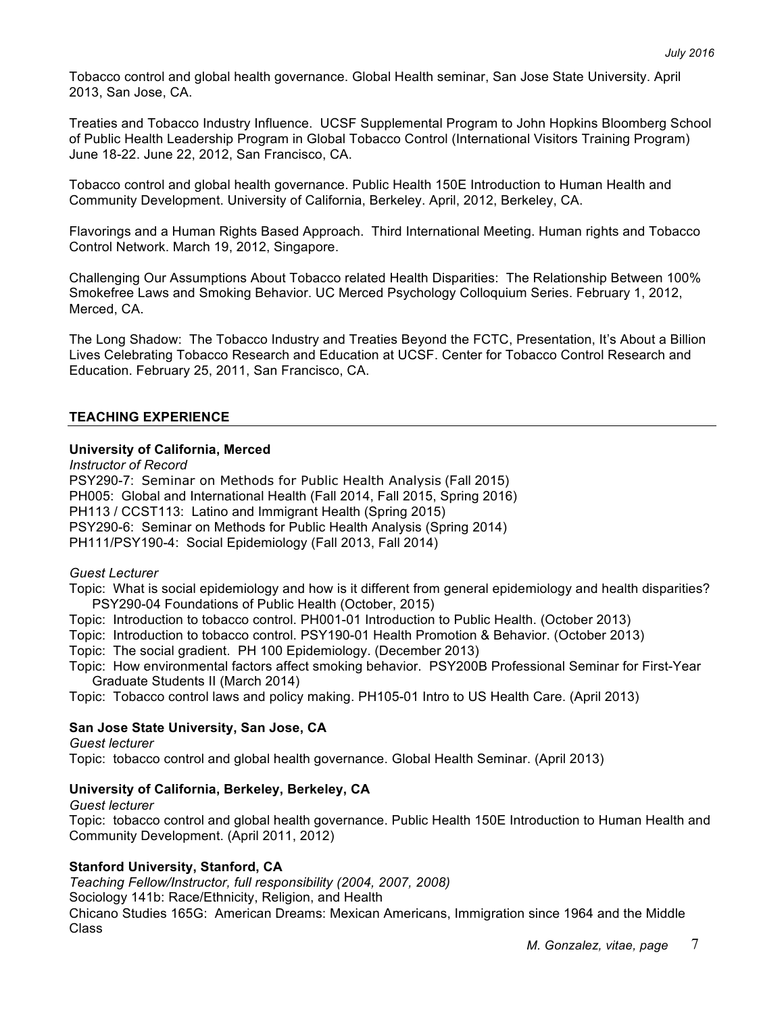Tobacco control and global health governance. Global Health seminar, San Jose State University. April 2013, San Jose, CA.

Treaties and Tobacco Industry Influence. UCSF Supplemental Program to John Hopkins Bloomberg School of Public Health Leadership Program in Global Tobacco Control (International Visitors Training Program) June 18-22. June 22, 2012, San Francisco, CA.

Tobacco control and global health governance. Public Health 150E Introduction to Human Health and Community Development. University of California, Berkeley. April, 2012, Berkeley, CA.

Flavorings and a Human Rights Based Approach. Third International Meeting. Human rights and Tobacco Control Network. March 19, 2012, Singapore.

Challenging Our Assumptions About Tobacco related Health Disparities: The Relationship Between 100% Smokefree Laws and Smoking Behavior. UC Merced Psychology Colloquium Series. February 1, 2012, Merced, CA.

The Long Shadow: The Tobacco Industry and Treaties Beyond the FCTC, Presentation, It's About a Billion Lives Celebrating Tobacco Research and Education at UCSF. Center for Tobacco Control Research and Education. February 25, 2011, San Francisco, CA.

#### **TEACHING EXPERIENCE**

#### **University of California, Merced**

*Instructor of Record* PSY290-7: Seminar on Methods for Public Health Analysis (Fall 2015) PH005: Global and International Health (Fall 2014, Fall 2015, Spring 2016) PH113 / CCST113: Latino and Immigrant Health (Spring 2015) PSY290-6: Seminar on Methods for Public Health Analysis (Spring 2014) PH111/PSY190-4: Social Epidemiology (Fall 2013, Fall 2014)

#### *Guest Lecturer*

Topic: What is social epidemiology and how is it different from general epidemiology and health disparities? PSY290-04 Foundations of Public Health (October, 2015)

- Topic: Introduction to tobacco control. PH001-01 Introduction to Public Health. (October 2013)
- Topic: Introduction to tobacco control. PSY190-01 Health Promotion & Behavior. (October 2013)
- Topic: The social gradient. PH 100 Epidemiology. (December 2013)
- Topic: How environmental factors affect smoking behavior. PSY200B Professional Seminar for First-Year Graduate Students II (March 2014)
- Topic: Tobacco control laws and policy making. PH105-01 Intro to US Health Care. (April 2013)

### **San Jose State University, San Jose, CA**

*Guest lecturer*

Topic: tobacco control and global health governance. Global Health Seminar. (April 2013)

### **University of California, Berkeley, Berkeley, CA**

*Guest lecturer*

Topic: tobacco control and global health governance. Public Health 150E Introduction to Human Health and Community Development. (April 2011, 2012)

### **Stanford University, Stanford, CA**

*Teaching Fellow/Instructor, full responsibility (2004, 2007, 2008)*

Sociology 141b: Race/Ethnicity, Religion, and Health

Chicano Studies 165G: American Dreams: Mexican Americans, Immigration since 1964 and the Middle Class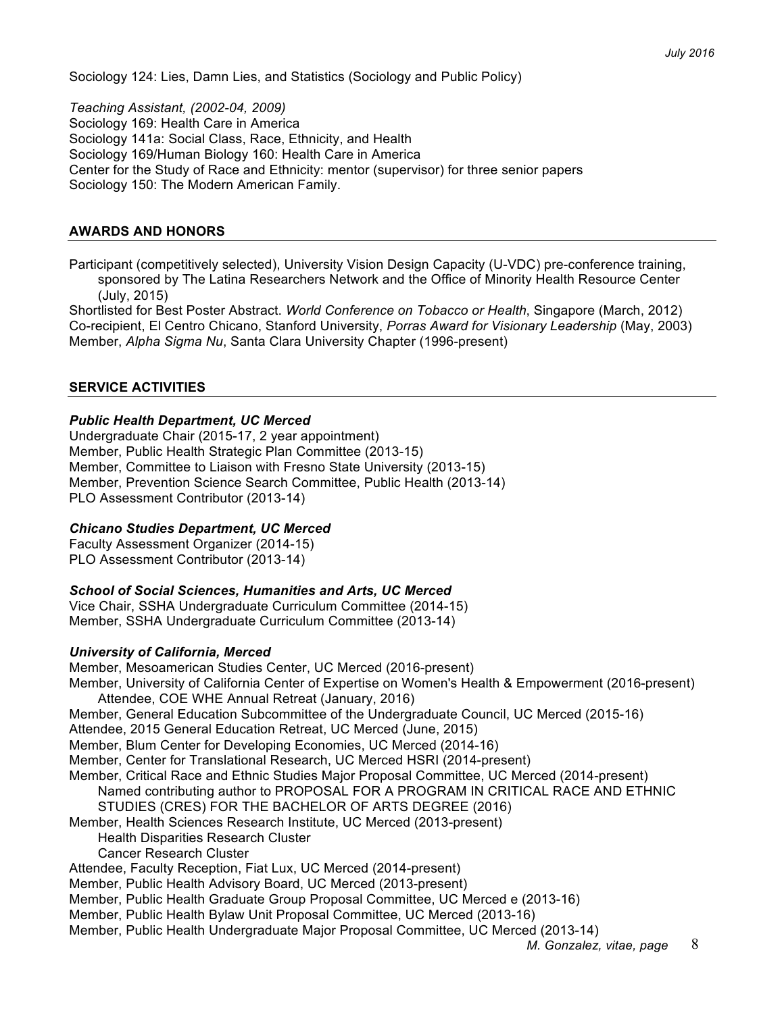Sociology 124: Lies, Damn Lies, and Statistics (Sociology and Public Policy)

*Teaching Assistant, (2002-04, 2009)* Sociology 169: Health Care in America Sociology 141a: Social Class, Race, Ethnicity, and Health Sociology 169/Human Biology 160: Health Care in America Center for the Study of Race and Ethnicity: mentor (supervisor) for three senior papers Sociology 150: The Modern American Family.

#### **AWARDS AND HONORS**

Participant (competitively selected), University Vision Design Capacity (U-VDC) pre-conference training, sponsored by The Latina Researchers Network and the Office of Minority Health Resource Center (July, 2015)

Shortlisted for Best Poster Abstract. *World Conference on Tobacco or Health*, Singapore (March, 2012) Co-recipient, El Centro Chicano, Stanford University, *Porras Award for Visionary Leadership* (May, 2003) Member, *Alpha Sigma Nu*, Santa Clara University Chapter (1996-present)

### **SERVICE ACTIVITIES**

#### *Public Health Department, UC Merced*

Undergraduate Chair (2015-17, 2 year appointment) Member, Public Health Strategic Plan Committee (2013-15) Member, Committee to Liaison with Fresno State University (2013-15) Member, Prevention Science Search Committee, Public Health (2013-14) PLO Assessment Contributor (2013-14)

### *Chicano Studies Department, UC Merced*

Faculty Assessment Organizer (2014-15) PLO Assessment Contributor (2013-14)

### *School of Social Sciences, Humanities and Arts, UC Merced*

Vice Chair, SSHA Undergraduate Curriculum Committee (2014-15) Member, SSHA Undergraduate Curriculum Committee (2013-14)

#### *University of California, Merced*

Member, Mesoamerican Studies Center, UC Merced (2016-present) Member, University of California Center of Expertise on Women's Health & Empowerment (2016-present) Attendee, COE WHE Annual Retreat (January, 2016) Member, General Education Subcommittee of the Undergraduate Council, UC Merced (2015-16) Attendee, 2015 General Education Retreat, UC Merced (June, 2015) Member, Blum Center for Developing Economies, UC Merced (2014-16) Member, Center for Translational Research, UC Merced HSRI (2014-present) Member, Critical Race and Ethnic Studies Major Proposal Committee, UC Merced (2014-present) Named contributing author to PROPOSAL FOR A PROGRAM IN CRITICAL RACE AND ETHNIC STUDIES (CRES) FOR THE BACHELOR OF ARTS DEGREE (2016) Member, Health Sciences Research Institute, UC Merced (2013-present) Health Disparities Research Cluster Cancer Research Cluster Attendee, Faculty Reception, Fiat Lux, UC Merced (2014-present) Member, Public Health Advisory Board, UC Merced (2013-present) Member, Public Health Graduate Group Proposal Committee, UC Merced e (2013-16) Member, Public Health Bylaw Unit Proposal Committee, UC Merced (2013-16) Member, Public Health Undergraduate Major Proposal Committee, UC Merced (2013-14)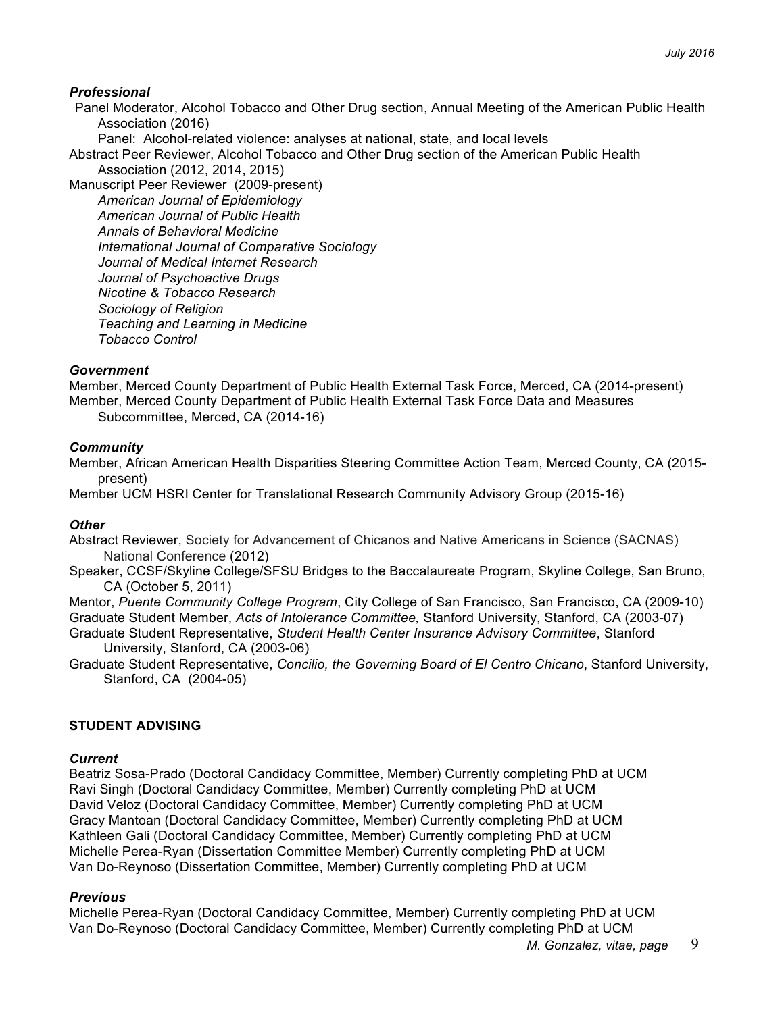## *Professional*

Panel Moderator, Alcohol Tobacco and Other Drug section, Annual Meeting of the American Public Health Association (2016)

Panel: Alcohol-related violence: analyses at national, state, and local levels

Abstract Peer Reviewer, Alcohol Tobacco and Other Drug section of the American Public Health Association (2012, 2014, 2015)

Manuscript Peer Reviewer (2009-present) *American Journal of Epidemiology American Journal of Public Health Annals of Behavioral Medicine International Journal of Comparative Sociology Journal of Medical Internet Research Journal of Psychoactive Drugs Nicotine & Tobacco Research Sociology of Religion Teaching and Learning in Medicine Tobacco Control*

## *Government*

Member, Merced County Department of Public Health External Task Force, Merced, CA (2014-present) Member, Merced County Department of Public Health External Task Force Data and Measures Subcommittee, Merced, CA (2014-16)

## *Community*

Member, African American Health Disparities Steering Committee Action Team, Merced County, CA (2015 present)

Member UCM HSRI Center for Translational Research Community Advisory Group (2015-16)

### *Other*

Abstract Reviewer, Society for Advancement of Chicanos and Native Americans in Science (SACNAS) National Conference (2012)

Speaker, CCSF/Skyline College/SFSU Bridges to the Baccalaureate Program, Skyline College, San Bruno, CA (October 5, 2011)

Mentor, *Puente Community College Program*, City College of San Francisco, San Francisco, CA (2009-10) Graduate Student Member, *Acts of Intolerance Committee,* Stanford University, Stanford, CA (2003-07)

Graduate Student Representative, *Student Health Center Insurance Advisory Committee*, Stanford University, Stanford, CA (2003-06)

Graduate Student Representative, *Concilio, the Governing Board of El Centro Chicano*, Stanford University, Stanford, CA (2004-05)

## **STUDENT ADVISING**

### *Current*

Beatriz Sosa-Prado (Doctoral Candidacy Committee, Member) Currently completing PhD at UCM Ravi Singh (Doctoral Candidacy Committee, Member) Currently completing PhD at UCM David Veloz (Doctoral Candidacy Committee, Member) Currently completing PhD at UCM Gracy Mantoan (Doctoral Candidacy Committee, Member) Currently completing PhD at UCM Kathleen Gali (Doctoral Candidacy Committee, Member) Currently completing PhD at UCM Michelle Perea-Ryan (Dissertation Committee Member) Currently completing PhD at UCM Van Do-Reynoso (Dissertation Committee, Member) Currently completing PhD at UCM

### *Previous*

Michelle Perea-Ryan (Doctoral Candidacy Committee, Member) Currently completing PhD at UCM Van Do-Reynoso (Doctoral Candidacy Committee, Member) Currently completing PhD at UCM